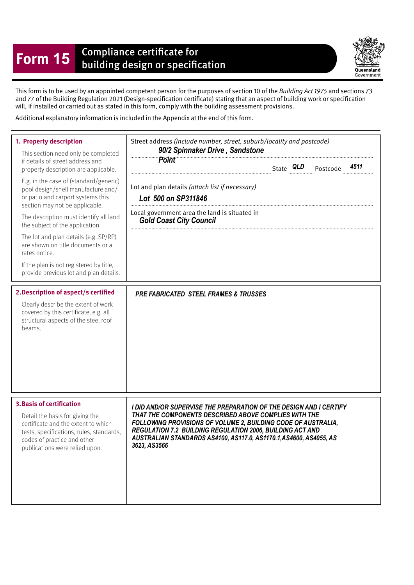## **Form 15** Compliance certificate for<br>building design or specification

Queensland Government

This form is to be used by an appointed competent person for the purposes of section 10 of the Building Act 1975 and sections 73 and 77 of the Building Regulation 2021 (Design-specifcation certifcate) stating that an aspect of building work or specifcation will, if installed or carried out as stated in this form, comply with the building assessment provisions.

Additional explanatory information is included in the Appendix at the end of this form.

| 1. Property description<br>This section need only be completed<br>if details of street address and<br>property description are applicable.<br>E.g. in the case of (standard/generic)<br>pool design/shell manufacture and/<br>or patio and carport systems this<br>section may not be applicable.<br>The description must identify all land<br>the subject of the application.<br>The lot and plan details (e.g. SP/RP)<br>are shown on title documents or a<br>rates notice.<br>If the plan is not registered by title,<br>provide previous lot and plan details. | Street address (include number, street, suburb/locality and postcode)<br>90/2 Spinnaker Drive, Sandstone<br><b>Point</b><br>4511<br>Lot and plan details (attach list if necessary)<br>Lot 500 on SP311846<br>Local government area the land is situated in<br><b>Gold Coast City Council</b>                                                          |
|--------------------------------------------------------------------------------------------------------------------------------------------------------------------------------------------------------------------------------------------------------------------------------------------------------------------------------------------------------------------------------------------------------------------------------------------------------------------------------------------------------------------------------------------------------------------|--------------------------------------------------------------------------------------------------------------------------------------------------------------------------------------------------------------------------------------------------------------------------------------------------------------------------------------------------------|
| 2. Description of aspect/s certified<br>Clearly describe the extent of work<br>covered by this certificate, e.g. all<br>structural aspects of the steel roof<br>beams.                                                                                                                                                                                                                                                                                                                                                                                             | <b>PRE FABRICATED STEEL FRAMES &amp; TRUSSES</b>                                                                                                                                                                                                                                                                                                       |
| <b>3. Basis of certification</b><br>Detail the basis for giving the<br>certificate and the extent to which<br>tests, specifications, rules, standards,<br>codes of practice and other<br>publications were relied upon.                                                                                                                                                                                                                                                                                                                                            | I DID AND/OR SUPERVISE THE PREPARATION OF THE DESIGN AND I CERTIFY<br>THAT THE COMPONENTS DESCRIBED ABOVE COMPLIES WITH THE<br>FOLLOWING PROVISIONS OF VOLUME 2, BUILDING CODE OF AUSTRALIA,<br><b>REGULATION 7.2 BUILDING REGULATION 2006, BUILDING ACT AND</b><br>AUSTRALIAN STANDARDS AS4100, AS117.0, AS1170.1, AS4600, AS4055, AS<br>3623, AS3566 |